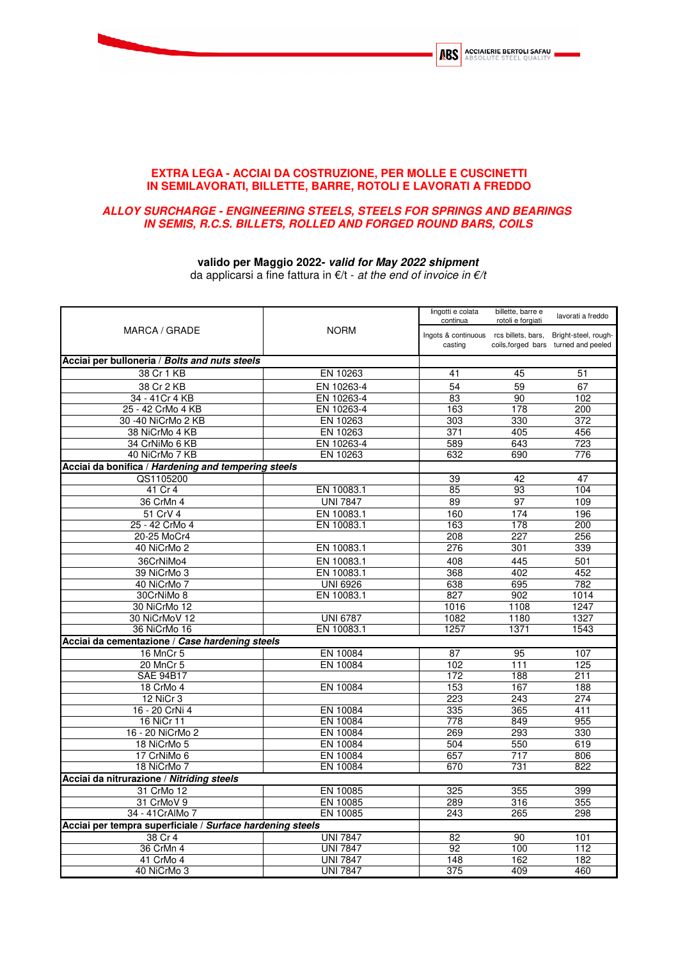

## **EXTRA LEGA - ACCIAI DA COSTRUZIONE, PER MOLLE E CUSCINETTI IN SEMILAVORATI, BILLETTE, BARRE, ROTOLI E LAVORATI A FREDDO**

## **ALLOY SURCHARGE - ENGINEERING STEELS, STEELS FOR SPRINGS AND BEARINGS IN SEMIS, R.C.S. BILLETS, ROLLED AND FORGED ROUND BARS, COILS**

## **valido per Maggio 2022- valid for May 2022 shipment**

da applicarsi a fine fattura in  $€/t$  - at the end of invoice in  $€/t$ 

| MARCA / GRADE                                             |                 | lingotti e colata<br>continua                                          | billette, barre e<br>rotoli e forgiati | lavorati a freddo                    |
|-----------------------------------------------------------|-----------------|------------------------------------------------------------------------|----------------------------------------|--------------------------------------|
|                                                           | <b>NORM</b>     | Ingots & continuous rcs billets, bars, Bright-steel, rough-<br>casting |                                        | coils, forged bars turned and peeled |
| Acciai per bulloneria / Bolts and nuts steels             |                 |                                                                        |                                        |                                      |
| 38 Cr 1 KB                                                | EN 10263        | 41                                                                     | 45                                     | 51                                   |
| 38 Cr 2 KB                                                | EN 10263-4      | 54                                                                     | 59                                     | 67                                   |
| 34 - 41 Cr 4 KB                                           | EN 10263-4      | 83                                                                     | 90                                     | 102                                  |
| 25 - 42 CrMo 4 KB                                         | EN 10263-4      | 163                                                                    | 178                                    | 200                                  |
| 30 -40 NiCrMo 2 KB                                        | EN 10263        | 303                                                                    | 330                                    | 372                                  |
| 38 NiCrMo 4 KB                                            | EN 10263        | 371                                                                    | 405                                    | 456                                  |
| 34 CrNiMo 6 KB                                            | EN 10263-4      | 589                                                                    | 643                                    | 723                                  |
| 40 NiCrMo 7 KB                                            | EN 10263        | 632                                                                    | 690                                    | 776                                  |
| Acciai da bonifica / Hardening and tempering steels       |                 |                                                                        |                                        |                                      |
| QS1105200                                                 |                 | 39                                                                     | 42                                     | 47                                   |
| 41 Cr 4                                                   | EN 10083.1      | 85                                                                     | 93                                     | 104                                  |
| 36 CrMn 4                                                 | <b>UNI 7847</b> | 89                                                                     | $\overline{97}$                        | 109                                  |
| 51 CrV 4                                                  | EN 10083.1      | 160                                                                    | 174                                    | 196                                  |
| 25 - 42 CrMo 4                                            | EN 10083.1      | 163                                                                    | 178                                    | 200                                  |
| 20-25 MoCr4                                               |                 | 208                                                                    | 227                                    | 256                                  |
| 40 NiCrMo 2                                               | EN 10083.1      | 276                                                                    | 301                                    | 339                                  |
| 36CrNiMo4                                                 | EN 10083.1      | 408                                                                    | 445                                    | 501                                  |
| 39 NiCrMo 3                                               | EN 10083.1      | 368                                                                    | 402                                    | 452                                  |
| 40 NiCrMo 7                                               | <b>UNI 6926</b> | 638                                                                    | 695                                    | 782                                  |
| 30CrNiMo 8                                                | EN 10083.1      | 827                                                                    | 902                                    | 1014                                 |
| 30 NiCrMo 12                                              |                 | 1016                                                                   | 1108                                   | 1247                                 |
| 30 NiCrMoV 12                                             | <b>UNI 6787</b> | 1082                                                                   | 1180                                   | 1327                                 |
| 36 NiCrMo 16                                              | EN 10083.1      | 1257                                                                   | 1371                                   | 1543                                 |
| Acciai da cementazione / Case hardening steels            |                 |                                                                        |                                        |                                      |
| 16 MnCr 5                                                 | EN 10084        | 87                                                                     | 95                                     | 107                                  |
| 20 MnCr 5                                                 | EN 10084        | 102                                                                    | $\overline{111}$                       | 125                                  |
| <b>SAE 94B17</b>                                          |                 | 172                                                                    | 188                                    | 211                                  |
| 18 CrMo 4                                                 | EN 10084        | 153                                                                    | 167                                    | 188                                  |
| 12 NiCr 3                                                 |                 | 223                                                                    | 243                                    | 274                                  |
| 16 - 20 CrNi 4                                            | EN 10084        | 335                                                                    | 365                                    | 411                                  |
| 16 NiCr 11                                                | EN 10084        | 778                                                                    | 849                                    | 955                                  |
| 16 - 20 NiCrMo 2                                          | EN 10084        | 269                                                                    | 293                                    | 330                                  |
| 18 NiCrMo 5                                               | EN 10084        | 504                                                                    | 550                                    | 619                                  |
| 17 CrNiMo 6                                               | EN 10084        | 657                                                                    | 717                                    | 806                                  |
| 18 NiCrMo 7                                               | EN 10084        | 670                                                                    | 731                                    | 822                                  |
| Acciai da nitrurazione / Nitriding steels                 |                 |                                                                        |                                        |                                      |
| 31 CrMo 12                                                | EN 10085        | 325                                                                    | 355                                    | 399                                  |
| 31 CrMoV 9                                                | EN 10085        | 289                                                                    | 316                                    | 355                                  |
| 34 - 41 CrAlMo 7                                          | EN 10085        | 243                                                                    | 265                                    | 298                                  |
| Acciai per tempra superficiale / Surface hardening steels |                 |                                                                        |                                        |                                      |
| 38 Cr 4                                                   | <b>UNI 7847</b> | 82                                                                     | 90                                     | 101                                  |
| 36 CrMn 4                                                 | <b>UNI 7847</b> | 92                                                                     | 100                                    | 112                                  |
| 41 CrMo 4                                                 | <b>UNI 7847</b> | 148                                                                    | 162                                    | 182                                  |
| 40 NiCrMo 3                                               | <b>UNI 7847</b> | 375                                                                    | 409                                    | 460                                  |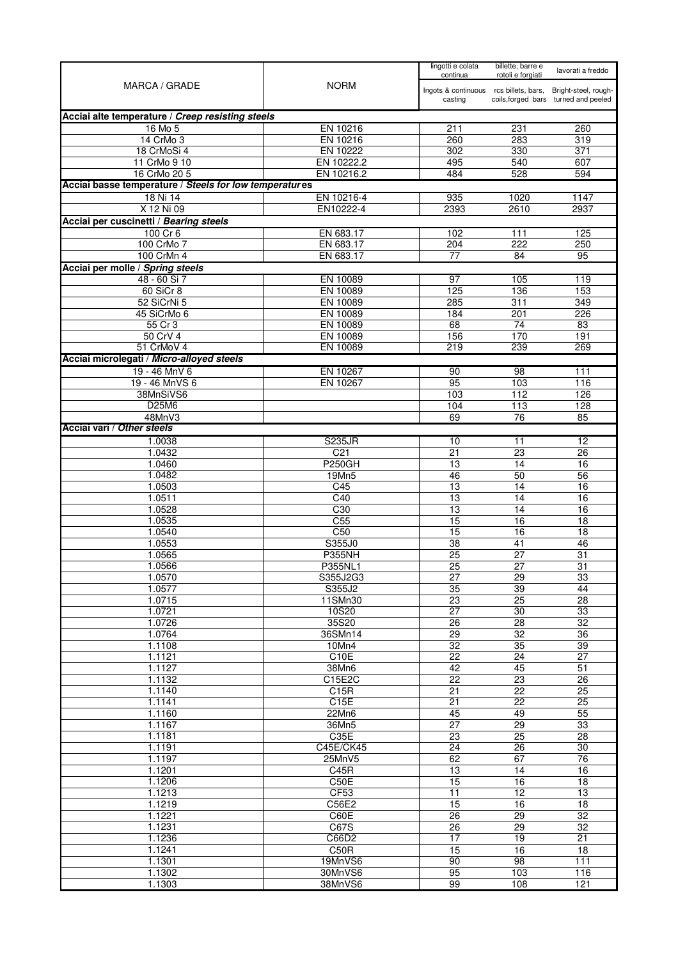| <b>NORM</b><br>MARCA / GRADE<br>Ingots & continuous rcs billets, bars,<br>Bright-steel, rough-<br>coils, forged bars turned and peeled<br>casting<br>Acciai alte temperature / Creep resisting steels<br>16 Mo 5<br>EN 10216<br>231<br>211<br>260<br>14 CrMo 3<br>EN 10216<br>260<br>283<br>319<br>18 CrMoSi 4<br>EN 10222<br>302<br>330<br>371<br>EN 10222.2<br>11 CrMo 9 10<br>495<br>540<br>607<br>EN 10216.2<br>16 CrMo 20 5<br>484<br>528<br>594<br>Acciai basse temperature / Steels for low temperatures<br>18 Ni 14<br>EN 10216-4<br>935<br>1020<br>1147<br>X 12 Ni 09<br>EN10222-4<br>2610<br>2937<br>2393<br>Acciai per cuscinetti / Bearing steels<br>$100$ Cr 6<br>EN 683.17<br>102<br>111<br>125<br>100 CrMo 7<br>EN 683.17<br>222<br>204<br>250<br>EN 683.17<br>100 CrMn 4<br>84<br>95<br>77<br>48 - 60 Si 7<br>EN 10089<br>97<br>105<br>119<br>60 SiCr 8<br>EN 10089<br>136<br>125<br>153<br>EN 10089<br>52 SiCrNi 5<br>285<br>311<br>349<br>EN 10089<br>45 SiCrMo 6<br>184<br>201<br>226<br>EN 10089<br>74<br>55 Cr 3<br>68<br>83<br>50 CrV 4<br>EN 10089<br>170<br>156<br>191<br>239<br>51 CrMoV 4<br>EN 10089<br>219<br>269<br>19 - 46 MnV 6<br>EN 10267<br>98<br>90<br>111<br>95<br>19 - 46 MnVS 6<br>EN 10267<br>103<br>116<br>38MnSiVS6<br>112<br>103<br>126<br>D25M6<br>113<br>128<br>104<br>69<br>76<br>85<br>48MnV3<br>1.0038<br><b>S235JR</b><br>12<br>10<br>11<br>C <sub>21</sub><br>23<br>1.0432<br>21<br>26<br><b>P250GH</b><br>1.0460<br>13<br>14<br>16<br>1.0482<br>19Mn5<br>46<br>50<br>56<br>1.0503<br>13<br>C45<br>14<br>16<br>1.0511<br>$\overline{C40}$<br>$\overline{13}$<br>14<br>16<br>1.0528<br>C30<br>13<br>14<br>16<br>C <sub>55</sub><br>15<br>16<br>1.0535<br>18<br>C50<br>1.0540<br>15<br>16<br>18<br>S355J0<br>$\overline{38}$<br>1.0553<br>41<br>46<br>1.0565<br><b>P355NH</b><br>25<br>27<br>31<br>1.0566<br>25<br>27<br>31<br>P355NL1<br>1.0570<br>S355J2G3<br>29<br>33<br>27<br>1.0577<br>35<br>39<br>44<br>S355J2<br>25<br>$\overline{23}$<br>$\overline{28}$<br>1.0715<br>11SMn30<br>30<br>33<br>1.0721<br>10S20<br>27<br>35S20<br>1.0726<br>26<br>28<br>32<br>1.0764<br>32<br>36<br>36SMn14<br>$\overline{29}$<br>$\overline{35}$<br>39<br>1.1108<br>10Mn4<br>32<br>1.1121<br>C10E<br>$\overline{27}$<br>22<br>24<br>45<br>1.1127<br>42<br>$\overline{51}$<br>38Mn6<br>1.1132<br>C15E2C<br>22<br>23<br>26<br>1.1140<br>C15R<br>22<br>25<br>21<br>C15E<br>$\overline{22}$<br>25<br>$\overline{21}$<br>1.1141<br>1.1160<br>49<br>22Mn6<br>45<br>55<br>1.1167<br>29<br>33<br>36Mn5<br>27<br>25<br>1.1181<br>C35E<br>$\overline{23}$<br>$\overline{28}$<br>1.1191<br>C45E/CK45<br>24<br>26<br>30<br>1.1197<br>67<br>$\overline{76}$<br>25MnV5<br>62<br>13<br>$\overline{14}$<br>16<br>1.1201<br>C45R<br>C50E<br>16<br>1.1206<br>15<br>18<br>CF53<br>12<br>1.1213<br>$\overline{11}$<br>$\overline{13}$<br>15<br>16<br>1.1219<br>C56E2<br>18<br>1.1221<br>$\overline{29}$<br>$\overline{32}$<br>C60E<br>26<br>$\overline{29}$<br>$\overline{32}$<br>1.1231<br>C67S<br>26<br>17<br>19<br>1.1236<br>21<br>C66D2<br>1.1241<br>C50R<br>15<br>16<br>18<br>19MnVS6<br>90<br>98<br>111<br>1.1301<br>95<br>103<br>1.1302<br>30MnVS6<br>116<br>1.1303<br>38MnVS6<br>99<br>108<br>121 |                                           |  | lingotti e colata<br>continua | billette, barre e<br>rotoli e forgiati | lavorati a freddo |
|----------------------------------------------------------------------------------------------------------------------------------------------------------------------------------------------------------------------------------------------------------------------------------------------------------------------------------------------------------------------------------------------------------------------------------------------------------------------------------------------------------------------------------------------------------------------------------------------------------------------------------------------------------------------------------------------------------------------------------------------------------------------------------------------------------------------------------------------------------------------------------------------------------------------------------------------------------------------------------------------------------------------------------------------------------------------------------------------------------------------------------------------------------------------------------------------------------------------------------------------------------------------------------------------------------------------------------------------------------------------------------------------------------------------------------------------------------------------------------------------------------------------------------------------------------------------------------------------------------------------------------------------------------------------------------------------------------------------------------------------------------------------------------------------------------------------------------------------------------------------------------------------------------------------------------------------------------------------------------------------------------------------------------------------------------------------------------------------------------------------------------------------------------------------------------------------------------------------------------------------------------------------------------------------------------------------------------------------------------------------------------------------------------------------------------------------------------------------------------------------------------------------------------------------------------------------------------------------------------------------------------------------------------------------------------------------------------------------------------------------------------------------------------------------------------------------------------------------------------------------------------------------------------------------------------------------------------------------------------------------------------------------------------------------------------------------------------------------------------------------------------------------------------------------------------------------------------------------------|-------------------------------------------|--|-------------------------------|----------------------------------------|-------------------|
|                                                                                                                                                                                                                                                                                                                                                                                                                                                                                                                                                                                                                                                                                                                                                                                                                                                                                                                                                                                                                                                                                                                                                                                                                                                                                                                                                                                                                                                                                                                                                                                                                                                                                                                                                                                                                                                                                                                                                                                                                                                                                                                                                                                                                                                                                                                                                                                                                                                                                                                                                                                                                                                                                                                                                                                                                                                                                                                                                                                                                                                                                                                                                                                                                            |                                           |  |                               |                                        |                   |
|                                                                                                                                                                                                                                                                                                                                                                                                                                                                                                                                                                                                                                                                                                                                                                                                                                                                                                                                                                                                                                                                                                                                                                                                                                                                                                                                                                                                                                                                                                                                                                                                                                                                                                                                                                                                                                                                                                                                                                                                                                                                                                                                                                                                                                                                                                                                                                                                                                                                                                                                                                                                                                                                                                                                                                                                                                                                                                                                                                                                                                                                                                                                                                                                                            |                                           |  |                               |                                        |                   |
|                                                                                                                                                                                                                                                                                                                                                                                                                                                                                                                                                                                                                                                                                                                                                                                                                                                                                                                                                                                                                                                                                                                                                                                                                                                                                                                                                                                                                                                                                                                                                                                                                                                                                                                                                                                                                                                                                                                                                                                                                                                                                                                                                                                                                                                                                                                                                                                                                                                                                                                                                                                                                                                                                                                                                                                                                                                                                                                                                                                                                                                                                                                                                                                                                            |                                           |  |                               |                                        |                   |
|                                                                                                                                                                                                                                                                                                                                                                                                                                                                                                                                                                                                                                                                                                                                                                                                                                                                                                                                                                                                                                                                                                                                                                                                                                                                                                                                                                                                                                                                                                                                                                                                                                                                                                                                                                                                                                                                                                                                                                                                                                                                                                                                                                                                                                                                                                                                                                                                                                                                                                                                                                                                                                                                                                                                                                                                                                                                                                                                                                                                                                                                                                                                                                                                                            |                                           |  |                               |                                        |                   |
|                                                                                                                                                                                                                                                                                                                                                                                                                                                                                                                                                                                                                                                                                                                                                                                                                                                                                                                                                                                                                                                                                                                                                                                                                                                                                                                                                                                                                                                                                                                                                                                                                                                                                                                                                                                                                                                                                                                                                                                                                                                                                                                                                                                                                                                                                                                                                                                                                                                                                                                                                                                                                                                                                                                                                                                                                                                                                                                                                                                                                                                                                                                                                                                                                            |                                           |  |                               |                                        |                   |
|                                                                                                                                                                                                                                                                                                                                                                                                                                                                                                                                                                                                                                                                                                                                                                                                                                                                                                                                                                                                                                                                                                                                                                                                                                                                                                                                                                                                                                                                                                                                                                                                                                                                                                                                                                                                                                                                                                                                                                                                                                                                                                                                                                                                                                                                                                                                                                                                                                                                                                                                                                                                                                                                                                                                                                                                                                                                                                                                                                                                                                                                                                                                                                                                                            |                                           |  |                               |                                        |                   |
|                                                                                                                                                                                                                                                                                                                                                                                                                                                                                                                                                                                                                                                                                                                                                                                                                                                                                                                                                                                                                                                                                                                                                                                                                                                                                                                                                                                                                                                                                                                                                                                                                                                                                                                                                                                                                                                                                                                                                                                                                                                                                                                                                                                                                                                                                                                                                                                                                                                                                                                                                                                                                                                                                                                                                                                                                                                                                                                                                                                                                                                                                                                                                                                                                            |                                           |  |                               |                                        |                   |
|                                                                                                                                                                                                                                                                                                                                                                                                                                                                                                                                                                                                                                                                                                                                                                                                                                                                                                                                                                                                                                                                                                                                                                                                                                                                                                                                                                                                                                                                                                                                                                                                                                                                                                                                                                                                                                                                                                                                                                                                                                                                                                                                                                                                                                                                                                                                                                                                                                                                                                                                                                                                                                                                                                                                                                                                                                                                                                                                                                                                                                                                                                                                                                                                                            |                                           |  |                               |                                        |                   |
|                                                                                                                                                                                                                                                                                                                                                                                                                                                                                                                                                                                                                                                                                                                                                                                                                                                                                                                                                                                                                                                                                                                                                                                                                                                                                                                                                                                                                                                                                                                                                                                                                                                                                                                                                                                                                                                                                                                                                                                                                                                                                                                                                                                                                                                                                                                                                                                                                                                                                                                                                                                                                                                                                                                                                                                                                                                                                                                                                                                                                                                                                                                                                                                                                            |                                           |  |                               |                                        |                   |
|                                                                                                                                                                                                                                                                                                                                                                                                                                                                                                                                                                                                                                                                                                                                                                                                                                                                                                                                                                                                                                                                                                                                                                                                                                                                                                                                                                                                                                                                                                                                                                                                                                                                                                                                                                                                                                                                                                                                                                                                                                                                                                                                                                                                                                                                                                                                                                                                                                                                                                                                                                                                                                                                                                                                                                                                                                                                                                                                                                                                                                                                                                                                                                                                                            |                                           |  |                               |                                        |                   |
|                                                                                                                                                                                                                                                                                                                                                                                                                                                                                                                                                                                                                                                                                                                                                                                                                                                                                                                                                                                                                                                                                                                                                                                                                                                                                                                                                                                                                                                                                                                                                                                                                                                                                                                                                                                                                                                                                                                                                                                                                                                                                                                                                                                                                                                                                                                                                                                                                                                                                                                                                                                                                                                                                                                                                                                                                                                                                                                                                                                                                                                                                                                                                                                                                            |                                           |  |                               |                                        |                   |
|                                                                                                                                                                                                                                                                                                                                                                                                                                                                                                                                                                                                                                                                                                                                                                                                                                                                                                                                                                                                                                                                                                                                                                                                                                                                                                                                                                                                                                                                                                                                                                                                                                                                                                                                                                                                                                                                                                                                                                                                                                                                                                                                                                                                                                                                                                                                                                                                                                                                                                                                                                                                                                                                                                                                                                                                                                                                                                                                                                                                                                                                                                                                                                                                                            |                                           |  |                               |                                        |                   |
|                                                                                                                                                                                                                                                                                                                                                                                                                                                                                                                                                                                                                                                                                                                                                                                                                                                                                                                                                                                                                                                                                                                                                                                                                                                                                                                                                                                                                                                                                                                                                                                                                                                                                                                                                                                                                                                                                                                                                                                                                                                                                                                                                                                                                                                                                                                                                                                                                                                                                                                                                                                                                                                                                                                                                                                                                                                                                                                                                                                                                                                                                                                                                                                                                            |                                           |  |                               |                                        |                   |
|                                                                                                                                                                                                                                                                                                                                                                                                                                                                                                                                                                                                                                                                                                                                                                                                                                                                                                                                                                                                                                                                                                                                                                                                                                                                                                                                                                                                                                                                                                                                                                                                                                                                                                                                                                                                                                                                                                                                                                                                                                                                                                                                                                                                                                                                                                                                                                                                                                                                                                                                                                                                                                                                                                                                                                                                                                                                                                                                                                                                                                                                                                                                                                                                                            | Acciai per molle / Spring steels          |  |                               |                                        |                   |
|                                                                                                                                                                                                                                                                                                                                                                                                                                                                                                                                                                                                                                                                                                                                                                                                                                                                                                                                                                                                                                                                                                                                                                                                                                                                                                                                                                                                                                                                                                                                                                                                                                                                                                                                                                                                                                                                                                                                                                                                                                                                                                                                                                                                                                                                                                                                                                                                                                                                                                                                                                                                                                                                                                                                                                                                                                                                                                                                                                                                                                                                                                                                                                                                                            |                                           |  |                               |                                        |                   |
|                                                                                                                                                                                                                                                                                                                                                                                                                                                                                                                                                                                                                                                                                                                                                                                                                                                                                                                                                                                                                                                                                                                                                                                                                                                                                                                                                                                                                                                                                                                                                                                                                                                                                                                                                                                                                                                                                                                                                                                                                                                                                                                                                                                                                                                                                                                                                                                                                                                                                                                                                                                                                                                                                                                                                                                                                                                                                                                                                                                                                                                                                                                                                                                                                            |                                           |  |                               |                                        |                   |
|                                                                                                                                                                                                                                                                                                                                                                                                                                                                                                                                                                                                                                                                                                                                                                                                                                                                                                                                                                                                                                                                                                                                                                                                                                                                                                                                                                                                                                                                                                                                                                                                                                                                                                                                                                                                                                                                                                                                                                                                                                                                                                                                                                                                                                                                                                                                                                                                                                                                                                                                                                                                                                                                                                                                                                                                                                                                                                                                                                                                                                                                                                                                                                                                                            |                                           |  |                               |                                        |                   |
|                                                                                                                                                                                                                                                                                                                                                                                                                                                                                                                                                                                                                                                                                                                                                                                                                                                                                                                                                                                                                                                                                                                                                                                                                                                                                                                                                                                                                                                                                                                                                                                                                                                                                                                                                                                                                                                                                                                                                                                                                                                                                                                                                                                                                                                                                                                                                                                                                                                                                                                                                                                                                                                                                                                                                                                                                                                                                                                                                                                                                                                                                                                                                                                                                            |                                           |  |                               |                                        |                   |
|                                                                                                                                                                                                                                                                                                                                                                                                                                                                                                                                                                                                                                                                                                                                                                                                                                                                                                                                                                                                                                                                                                                                                                                                                                                                                                                                                                                                                                                                                                                                                                                                                                                                                                                                                                                                                                                                                                                                                                                                                                                                                                                                                                                                                                                                                                                                                                                                                                                                                                                                                                                                                                                                                                                                                                                                                                                                                                                                                                                                                                                                                                                                                                                                                            |                                           |  |                               |                                        |                   |
|                                                                                                                                                                                                                                                                                                                                                                                                                                                                                                                                                                                                                                                                                                                                                                                                                                                                                                                                                                                                                                                                                                                                                                                                                                                                                                                                                                                                                                                                                                                                                                                                                                                                                                                                                                                                                                                                                                                                                                                                                                                                                                                                                                                                                                                                                                                                                                                                                                                                                                                                                                                                                                                                                                                                                                                                                                                                                                                                                                                                                                                                                                                                                                                                                            |                                           |  |                               |                                        |                   |
|                                                                                                                                                                                                                                                                                                                                                                                                                                                                                                                                                                                                                                                                                                                                                                                                                                                                                                                                                                                                                                                                                                                                                                                                                                                                                                                                                                                                                                                                                                                                                                                                                                                                                                                                                                                                                                                                                                                                                                                                                                                                                                                                                                                                                                                                                                                                                                                                                                                                                                                                                                                                                                                                                                                                                                                                                                                                                                                                                                                                                                                                                                                                                                                                                            | Acciai microlegati / Micro-alloyed steels |  |                               |                                        |                   |
|                                                                                                                                                                                                                                                                                                                                                                                                                                                                                                                                                                                                                                                                                                                                                                                                                                                                                                                                                                                                                                                                                                                                                                                                                                                                                                                                                                                                                                                                                                                                                                                                                                                                                                                                                                                                                                                                                                                                                                                                                                                                                                                                                                                                                                                                                                                                                                                                                                                                                                                                                                                                                                                                                                                                                                                                                                                                                                                                                                                                                                                                                                                                                                                                                            |                                           |  |                               |                                        |                   |
|                                                                                                                                                                                                                                                                                                                                                                                                                                                                                                                                                                                                                                                                                                                                                                                                                                                                                                                                                                                                                                                                                                                                                                                                                                                                                                                                                                                                                                                                                                                                                                                                                                                                                                                                                                                                                                                                                                                                                                                                                                                                                                                                                                                                                                                                                                                                                                                                                                                                                                                                                                                                                                                                                                                                                                                                                                                                                                                                                                                                                                                                                                                                                                                                                            |                                           |  |                               |                                        |                   |
|                                                                                                                                                                                                                                                                                                                                                                                                                                                                                                                                                                                                                                                                                                                                                                                                                                                                                                                                                                                                                                                                                                                                                                                                                                                                                                                                                                                                                                                                                                                                                                                                                                                                                                                                                                                                                                                                                                                                                                                                                                                                                                                                                                                                                                                                                                                                                                                                                                                                                                                                                                                                                                                                                                                                                                                                                                                                                                                                                                                                                                                                                                                                                                                                                            |                                           |  |                               |                                        |                   |
|                                                                                                                                                                                                                                                                                                                                                                                                                                                                                                                                                                                                                                                                                                                                                                                                                                                                                                                                                                                                                                                                                                                                                                                                                                                                                                                                                                                                                                                                                                                                                                                                                                                                                                                                                                                                                                                                                                                                                                                                                                                                                                                                                                                                                                                                                                                                                                                                                                                                                                                                                                                                                                                                                                                                                                                                                                                                                                                                                                                                                                                                                                                                                                                                                            |                                           |  |                               |                                        |                   |
|                                                                                                                                                                                                                                                                                                                                                                                                                                                                                                                                                                                                                                                                                                                                                                                                                                                                                                                                                                                                                                                                                                                                                                                                                                                                                                                                                                                                                                                                                                                                                                                                                                                                                                                                                                                                                                                                                                                                                                                                                                                                                                                                                                                                                                                                                                                                                                                                                                                                                                                                                                                                                                                                                                                                                                                                                                                                                                                                                                                                                                                                                                                                                                                                                            | Acciai vari / Other steels                |  |                               |                                        |                   |
|                                                                                                                                                                                                                                                                                                                                                                                                                                                                                                                                                                                                                                                                                                                                                                                                                                                                                                                                                                                                                                                                                                                                                                                                                                                                                                                                                                                                                                                                                                                                                                                                                                                                                                                                                                                                                                                                                                                                                                                                                                                                                                                                                                                                                                                                                                                                                                                                                                                                                                                                                                                                                                                                                                                                                                                                                                                                                                                                                                                                                                                                                                                                                                                                                            |                                           |  |                               |                                        |                   |
|                                                                                                                                                                                                                                                                                                                                                                                                                                                                                                                                                                                                                                                                                                                                                                                                                                                                                                                                                                                                                                                                                                                                                                                                                                                                                                                                                                                                                                                                                                                                                                                                                                                                                                                                                                                                                                                                                                                                                                                                                                                                                                                                                                                                                                                                                                                                                                                                                                                                                                                                                                                                                                                                                                                                                                                                                                                                                                                                                                                                                                                                                                                                                                                                                            |                                           |  |                               |                                        |                   |
|                                                                                                                                                                                                                                                                                                                                                                                                                                                                                                                                                                                                                                                                                                                                                                                                                                                                                                                                                                                                                                                                                                                                                                                                                                                                                                                                                                                                                                                                                                                                                                                                                                                                                                                                                                                                                                                                                                                                                                                                                                                                                                                                                                                                                                                                                                                                                                                                                                                                                                                                                                                                                                                                                                                                                                                                                                                                                                                                                                                                                                                                                                                                                                                                                            |                                           |  |                               |                                        |                   |
|                                                                                                                                                                                                                                                                                                                                                                                                                                                                                                                                                                                                                                                                                                                                                                                                                                                                                                                                                                                                                                                                                                                                                                                                                                                                                                                                                                                                                                                                                                                                                                                                                                                                                                                                                                                                                                                                                                                                                                                                                                                                                                                                                                                                                                                                                                                                                                                                                                                                                                                                                                                                                                                                                                                                                                                                                                                                                                                                                                                                                                                                                                                                                                                                                            |                                           |  |                               |                                        |                   |
|                                                                                                                                                                                                                                                                                                                                                                                                                                                                                                                                                                                                                                                                                                                                                                                                                                                                                                                                                                                                                                                                                                                                                                                                                                                                                                                                                                                                                                                                                                                                                                                                                                                                                                                                                                                                                                                                                                                                                                                                                                                                                                                                                                                                                                                                                                                                                                                                                                                                                                                                                                                                                                                                                                                                                                                                                                                                                                                                                                                                                                                                                                                                                                                                                            |                                           |  |                               |                                        |                   |
|                                                                                                                                                                                                                                                                                                                                                                                                                                                                                                                                                                                                                                                                                                                                                                                                                                                                                                                                                                                                                                                                                                                                                                                                                                                                                                                                                                                                                                                                                                                                                                                                                                                                                                                                                                                                                                                                                                                                                                                                                                                                                                                                                                                                                                                                                                                                                                                                                                                                                                                                                                                                                                                                                                                                                                                                                                                                                                                                                                                                                                                                                                                                                                                                                            |                                           |  |                               |                                        |                   |
|                                                                                                                                                                                                                                                                                                                                                                                                                                                                                                                                                                                                                                                                                                                                                                                                                                                                                                                                                                                                                                                                                                                                                                                                                                                                                                                                                                                                                                                                                                                                                                                                                                                                                                                                                                                                                                                                                                                                                                                                                                                                                                                                                                                                                                                                                                                                                                                                                                                                                                                                                                                                                                                                                                                                                                                                                                                                                                                                                                                                                                                                                                                                                                                                                            |                                           |  |                               |                                        |                   |
|                                                                                                                                                                                                                                                                                                                                                                                                                                                                                                                                                                                                                                                                                                                                                                                                                                                                                                                                                                                                                                                                                                                                                                                                                                                                                                                                                                                                                                                                                                                                                                                                                                                                                                                                                                                                                                                                                                                                                                                                                                                                                                                                                                                                                                                                                                                                                                                                                                                                                                                                                                                                                                                                                                                                                                                                                                                                                                                                                                                                                                                                                                                                                                                                                            |                                           |  |                               |                                        |                   |
|                                                                                                                                                                                                                                                                                                                                                                                                                                                                                                                                                                                                                                                                                                                                                                                                                                                                                                                                                                                                                                                                                                                                                                                                                                                                                                                                                                                                                                                                                                                                                                                                                                                                                                                                                                                                                                                                                                                                                                                                                                                                                                                                                                                                                                                                                                                                                                                                                                                                                                                                                                                                                                                                                                                                                                                                                                                                                                                                                                                                                                                                                                                                                                                                                            |                                           |  |                               |                                        |                   |
|                                                                                                                                                                                                                                                                                                                                                                                                                                                                                                                                                                                                                                                                                                                                                                                                                                                                                                                                                                                                                                                                                                                                                                                                                                                                                                                                                                                                                                                                                                                                                                                                                                                                                                                                                                                                                                                                                                                                                                                                                                                                                                                                                                                                                                                                                                                                                                                                                                                                                                                                                                                                                                                                                                                                                                                                                                                                                                                                                                                                                                                                                                                                                                                                                            |                                           |  |                               |                                        |                   |
|                                                                                                                                                                                                                                                                                                                                                                                                                                                                                                                                                                                                                                                                                                                                                                                                                                                                                                                                                                                                                                                                                                                                                                                                                                                                                                                                                                                                                                                                                                                                                                                                                                                                                                                                                                                                                                                                                                                                                                                                                                                                                                                                                                                                                                                                                                                                                                                                                                                                                                                                                                                                                                                                                                                                                                                                                                                                                                                                                                                                                                                                                                                                                                                                                            |                                           |  |                               |                                        |                   |
|                                                                                                                                                                                                                                                                                                                                                                                                                                                                                                                                                                                                                                                                                                                                                                                                                                                                                                                                                                                                                                                                                                                                                                                                                                                                                                                                                                                                                                                                                                                                                                                                                                                                                                                                                                                                                                                                                                                                                                                                                                                                                                                                                                                                                                                                                                                                                                                                                                                                                                                                                                                                                                                                                                                                                                                                                                                                                                                                                                                                                                                                                                                                                                                                                            |                                           |  |                               |                                        |                   |
|                                                                                                                                                                                                                                                                                                                                                                                                                                                                                                                                                                                                                                                                                                                                                                                                                                                                                                                                                                                                                                                                                                                                                                                                                                                                                                                                                                                                                                                                                                                                                                                                                                                                                                                                                                                                                                                                                                                                                                                                                                                                                                                                                                                                                                                                                                                                                                                                                                                                                                                                                                                                                                                                                                                                                                                                                                                                                                                                                                                                                                                                                                                                                                                                                            |                                           |  |                               |                                        |                   |
|                                                                                                                                                                                                                                                                                                                                                                                                                                                                                                                                                                                                                                                                                                                                                                                                                                                                                                                                                                                                                                                                                                                                                                                                                                                                                                                                                                                                                                                                                                                                                                                                                                                                                                                                                                                                                                                                                                                                                                                                                                                                                                                                                                                                                                                                                                                                                                                                                                                                                                                                                                                                                                                                                                                                                                                                                                                                                                                                                                                                                                                                                                                                                                                                                            |                                           |  |                               |                                        |                   |
|                                                                                                                                                                                                                                                                                                                                                                                                                                                                                                                                                                                                                                                                                                                                                                                                                                                                                                                                                                                                                                                                                                                                                                                                                                                                                                                                                                                                                                                                                                                                                                                                                                                                                                                                                                                                                                                                                                                                                                                                                                                                                                                                                                                                                                                                                                                                                                                                                                                                                                                                                                                                                                                                                                                                                                                                                                                                                                                                                                                                                                                                                                                                                                                                                            |                                           |  |                               |                                        |                   |
|                                                                                                                                                                                                                                                                                                                                                                                                                                                                                                                                                                                                                                                                                                                                                                                                                                                                                                                                                                                                                                                                                                                                                                                                                                                                                                                                                                                                                                                                                                                                                                                                                                                                                                                                                                                                                                                                                                                                                                                                                                                                                                                                                                                                                                                                                                                                                                                                                                                                                                                                                                                                                                                                                                                                                                                                                                                                                                                                                                                                                                                                                                                                                                                                                            |                                           |  |                               |                                        |                   |
|                                                                                                                                                                                                                                                                                                                                                                                                                                                                                                                                                                                                                                                                                                                                                                                                                                                                                                                                                                                                                                                                                                                                                                                                                                                                                                                                                                                                                                                                                                                                                                                                                                                                                                                                                                                                                                                                                                                                                                                                                                                                                                                                                                                                                                                                                                                                                                                                                                                                                                                                                                                                                                                                                                                                                                                                                                                                                                                                                                                                                                                                                                                                                                                                                            |                                           |  |                               |                                        |                   |
|                                                                                                                                                                                                                                                                                                                                                                                                                                                                                                                                                                                                                                                                                                                                                                                                                                                                                                                                                                                                                                                                                                                                                                                                                                                                                                                                                                                                                                                                                                                                                                                                                                                                                                                                                                                                                                                                                                                                                                                                                                                                                                                                                                                                                                                                                                                                                                                                                                                                                                                                                                                                                                                                                                                                                                                                                                                                                                                                                                                                                                                                                                                                                                                                                            |                                           |  |                               |                                        |                   |
|                                                                                                                                                                                                                                                                                                                                                                                                                                                                                                                                                                                                                                                                                                                                                                                                                                                                                                                                                                                                                                                                                                                                                                                                                                                                                                                                                                                                                                                                                                                                                                                                                                                                                                                                                                                                                                                                                                                                                                                                                                                                                                                                                                                                                                                                                                                                                                                                                                                                                                                                                                                                                                                                                                                                                                                                                                                                                                                                                                                                                                                                                                                                                                                                                            |                                           |  |                               |                                        |                   |
|                                                                                                                                                                                                                                                                                                                                                                                                                                                                                                                                                                                                                                                                                                                                                                                                                                                                                                                                                                                                                                                                                                                                                                                                                                                                                                                                                                                                                                                                                                                                                                                                                                                                                                                                                                                                                                                                                                                                                                                                                                                                                                                                                                                                                                                                                                                                                                                                                                                                                                                                                                                                                                                                                                                                                                                                                                                                                                                                                                                                                                                                                                                                                                                                                            |                                           |  |                               |                                        |                   |
|                                                                                                                                                                                                                                                                                                                                                                                                                                                                                                                                                                                                                                                                                                                                                                                                                                                                                                                                                                                                                                                                                                                                                                                                                                                                                                                                                                                                                                                                                                                                                                                                                                                                                                                                                                                                                                                                                                                                                                                                                                                                                                                                                                                                                                                                                                                                                                                                                                                                                                                                                                                                                                                                                                                                                                                                                                                                                                                                                                                                                                                                                                                                                                                                                            |                                           |  |                               |                                        |                   |
|                                                                                                                                                                                                                                                                                                                                                                                                                                                                                                                                                                                                                                                                                                                                                                                                                                                                                                                                                                                                                                                                                                                                                                                                                                                                                                                                                                                                                                                                                                                                                                                                                                                                                                                                                                                                                                                                                                                                                                                                                                                                                                                                                                                                                                                                                                                                                                                                                                                                                                                                                                                                                                                                                                                                                                                                                                                                                                                                                                                                                                                                                                                                                                                                                            |                                           |  |                               |                                        |                   |
|                                                                                                                                                                                                                                                                                                                                                                                                                                                                                                                                                                                                                                                                                                                                                                                                                                                                                                                                                                                                                                                                                                                                                                                                                                                                                                                                                                                                                                                                                                                                                                                                                                                                                                                                                                                                                                                                                                                                                                                                                                                                                                                                                                                                                                                                                                                                                                                                                                                                                                                                                                                                                                                                                                                                                                                                                                                                                                                                                                                                                                                                                                                                                                                                                            |                                           |  |                               |                                        |                   |
|                                                                                                                                                                                                                                                                                                                                                                                                                                                                                                                                                                                                                                                                                                                                                                                                                                                                                                                                                                                                                                                                                                                                                                                                                                                                                                                                                                                                                                                                                                                                                                                                                                                                                                                                                                                                                                                                                                                                                                                                                                                                                                                                                                                                                                                                                                                                                                                                                                                                                                                                                                                                                                                                                                                                                                                                                                                                                                                                                                                                                                                                                                                                                                                                                            |                                           |  |                               |                                        |                   |
|                                                                                                                                                                                                                                                                                                                                                                                                                                                                                                                                                                                                                                                                                                                                                                                                                                                                                                                                                                                                                                                                                                                                                                                                                                                                                                                                                                                                                                                                                                                                                                                                                                                                                                                                                                                                                                                                                                                                                                                                                                                                                                                                                                                                                                                                                                                                                                                                                                                                                                                                                                                                                                                                                                                                                                                                                                                                                                                                                                                                                                                                                                                                                                                                                            |                                           |  |                               |                                        |                   |
|                                                                                                                                                                                                                                                                                                                                                                                                                                                                                                                                                                                                                                                                                                                                                                                                                                                                                                                                                                                                                                                                                                                                                                                                                                                                                                                                                                                                                                                                                                                                                                                                                                                                                                                                                                                                                                                                                                                                                                                                                                                                                                                                                                                                                                                                                                                                                                                                                                                                                                                                                                                                                                                                                                                                                                                                                                                                                                                                                                                                                                                                                                                                                                                                                            |                                           |  |                               |                                        |                   |
|                                                                                                                                                                                                                                                                                                                                                                                                                                                                                                                                                                                                                                                                                                                                                                                                                                                                                                                                                                                                                                                                                                                                                                                                                                                                                                                                                                                                                                                                                                                                                                                                                                                                                                                                                                                                                                                                                                                                                                                                                                                                                                                                                                                                                                                                                                                                                                                                                                                                                                                                                                                                                                                                                                                                                                                                                                                                                                                                                                                                                                                                                                                                                                                                                            |                                           |  |                               |                                        |                   |
|                                                                                                                                                                                                                                                                                                                                                                                                                                                                                                                                                                                                                                                                                                                                                                                                                                                                                                                                                                                                                                                                                                                                                                                                                                                                                                                                                                                                                                                                                                                                                                                                                                                                                                                                                                                                                                                                                                                                                                                                                                                                                                                                                                                                                                                                                                                                                                                                                                                                                                                                                                                                                                                                                                                                                                                                                                                                                                                                                                                                                                                                                                                                                                                                                            |                                           |  |                               |                                        |                   |
|                                                                                                                                                                                                                                                                                                                                                                                                                                                                                                                                                                                                                                                                                                                                                                                                                                                                                                                                                                                                                                                                                                                                                                                                                                                                                                                                                                                                                                                                                                                                                                                                                                                                                                                                                                                                                                                                                                                                                                                                                                                                                                                                                                                                                                                                                                                                                                                                                                                                                                                                                                                                                                                                                                                                                                                                                                                                                                                                                                                                                                                                                                                                                                                                                            |                                           |  |                               |                                        |                   |
|                                                                                                                                                                                                                                                                                                                                                                                                                                                                                                                                                                                                                                                                                                                                                                                                                                                                                                                                                                                                                                                                                                                                                                                                                                                                                                                                                                                                                                                                                                                                                                                                                                                                                                                                                                                                                                                                                                                                                                                                                                                                                                                                                                                                                                                                                                                                                                                                                                                                                                                                                                                                                                                                                                                                                                                                                                                                                                                                                                                                                                                                                                                                                                                                                            |                                           |  |                               |                                        |                   |
|                                                                                                                                                                                                                                                                                                                                                                                                                                                                                                                                                                                                                                                                                                                                                                                                                                                                                                                                                                                                                                                                                                                                                                                                                                                                                                                                                                                                                                                                                                                                                                                                                                                                                                                                                                                                                                                                                                                                                                                                                                                                                                                                                                                                                                                                                                                                                                                                                                                                                                                                                                                                                                                                                                                                                                                                                                                                                                                                                                                                                                                                                                                                                                                                                            |                                           |  |                               |                                        |                   |
|                                                                                                                                                                                                                                                                                                                                                                                                                                                                                                                                                                                                                                                                                                                                                                                                                                                                                                                                                                                                                                                                                                                                                                                                                                                                                                                                                                                                                                                                                                                                                                                                                                                                                                                                                                                                                                                                                                                                                                                                                                                                                                                                                                                                                                                                                                                                                                                                                                                                                                                                                                                                                                                                                                                                                                                                                                                                                                                                                                                                                                                                                                                                                                                                                            |                                           |  |                               |                                        |                   |
|                                                                                                                                                                                                                                                                                                                                                                                                                                                                                                                                                                                                                                                                                                                                                                                                                                                                                                                                                                                                                                                                                                                                                                                                                                                                                                                                                                                                                                                                                                                                                                                                                                                                                                                                                                                                                                                                                                                                                                                                                                                                                                                                                                                                                                                                                                                                                                                                                                                                                                                                                                                                                                                                                                                                                                                                                                                                                                                                                                                                                                                                                                                                                                                                                            |                                           |  |                               |                                        |                   |
|                                                                                                                                                                                                                                                                                                                                                                                                                                                                                                                                                                                                                                                                                                                                                                                                                                                                                                                                                                                                                                                                                                                                                                                                                                                                                                                                                                                                                                                                                                                                                                                                                                                                                                                                                                                                                                                                                                                                                                                                                                                                                                                                                                                                                                                                                                                                                                                                                                                                                                                                                                                                                                                                                                                                                                                                                                                                                                                                                                                                                                                                                                                                                                                                                            |                                           |  |                               |                                        |                   |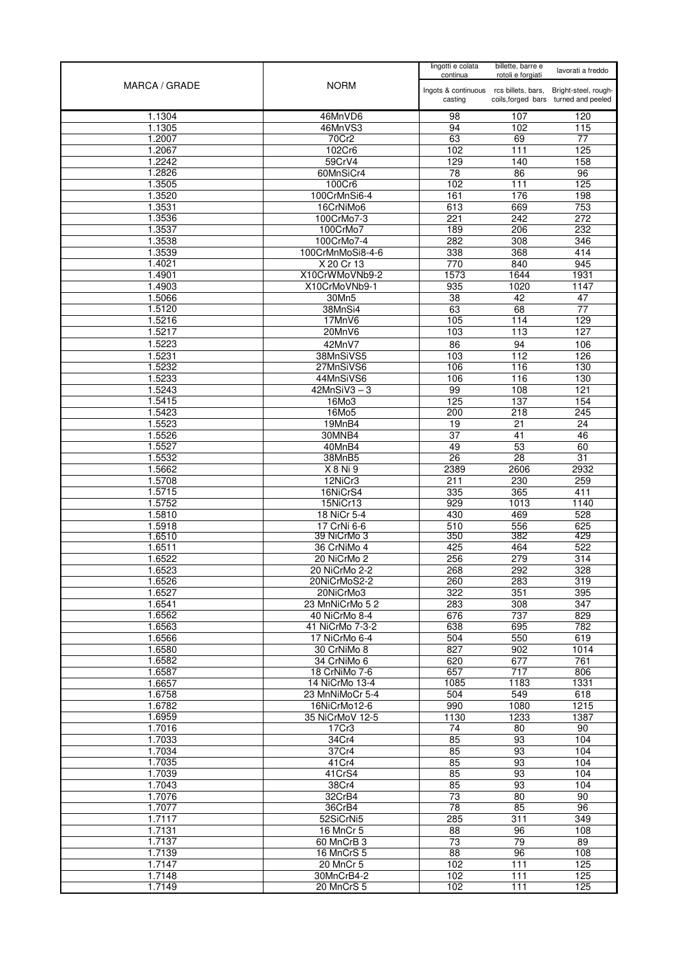|                  |                            | lingotti e colata<br>continua                     | billette, barre e<br>rotoli e forgiati | lavorati a freddo                                            |
|------------------|----------------------------|---------------------------------------------------|----------------------------------------|--------------------------------------------------------------|
| MARCA / GRADE    | <b>NORM</b>                | Ingots & continuous rcs billets, bars,<br>casting |                                        | Bright-steel, rough-<br>coils, forged bars turned and peeled |
| 1.1304           | 46MnVD6                    | 98                                                | 107                                    | 120                                                          |
| 1.1305           | 46MnVS3                    | 94                                                | 102                                    | 115                                                          |
| 1.2007           | 70Cr2                      | 63                                                | 69                                     | 77                                                           |
| 1.2067           | 102Cr6                     | 102                                               | 111                                    | 125                                                          |
| 1.2242           | 59CrV4                     | 129                                               | 140                                    | 158                                                          |
| 1.2826<br>1.3505 | 60MnSiCr4<br>100Cr6        | 78<br>102                                         | 86<br>111                              | 96<br>125                                                    |
| 1.3520           | 100CrMnSi6-4               | 161                                               | 176                                    | 198                                                          |
| 1.3531           | 16CrNiMo6                  | 613                                               | 669                                    | 753                                                          |
| 1.3536           | 100CrMo7-3                 | 221                                               | $\overline{242}$                       | $\overline{272}$                                             |
| 1.3537           | 100CrMo7                   | 189                                               | 206                                    | 232                                                          |
| 1.3538           | 100CrMo7-4                 | 282                                               | 308                                    | 346                                                          |
| 1.3539           | 100CrMnMoSi8-4-6           | 338                                               | 368                                    | 414                                                          |
| 1.4021           | X 20 Cr 13                 | 770                                               | 840                                    | 945                                                          |
| 1.4901           | X10CrWMoVNb9-2             | 1573                                              | 1644                                   | 1931                                                         |
| 1.4903           | X10CrMoVNb9-1              | 935                                               | 1020                                   | 1147                                                         |
| 1.5066           | 30Mn5<br>38MnSi4           | 38<br>63                                          | 42<br>68                               | 47<br>77                                                     |
| 1.5120<br>1.5216 | 17MnV6                     | 105                                               | 114                                    | 129                                                          |
| 1.5217           | 20MnV6                     | 103                                               | 113                                    | 127                                                          |
| 1.5223           | 42MnV7                     | 86                                                | 94                                     | 106                                                          |
| 1.5231           | 38MnSiVS5                  | 103                                               | 112                                    | 126                                                          |
| 1.5232           | 27MnSiVS6                  | 106                                               | 116                                    | 130                                                          |
| 1.5233           | 44MnSiVS6                  | 106                                               | 116                                    | 130                                                          |
| 1.5243           | $42MnSiV3-3$               | 99                                                | 108                                    | 121                                                          |
| 1.5415           | 16Mo3                      | 125                                               | 137                                    | 154                                                          |
| 1.5423           | 16Mo5                      | 200                                               | 218                                    | 245                                                          |
| 1.5523           | 19MnB4                     | 19                                                | 21                                     | 24                                                           |
| 1.5526<br>1.5527 | 30MNB4<br>40MnB4           | $\overline{37}$<br>49                             | 41<br>53                               | 46<br>60                                                     |
| 1.5532           | 38MnB5                     | $\overline{26}$                                   | $\overline{28}$                        | 31                                                           |
| 1.5662           | X 8 Ni 9                   | 2389                                              | 2606                                   | 2932                                                         |
| 1.5708           | 12NiCr3                    | 211                                               | 230                                    | 259                                                          |
| 1.5715           | 16NiCrS4                   | 335                                               | 365                                    | 411                                                          |
| 1.5752           | 15NiCr13                   | 929                                               | 1013                                   | 1140                                                         |
| 1.5810           | 18 NiCr 5-4                | 430                                               | 469                                    | 528                                                          |
| 1.5918           | 17 CrNi 6-6                | 510                                               | 556                                    | 625                                                          |
| 1.6510           | 39 NiCrMo 3                | 350<br>425                                        | 382                                    | 429<br>522                                                   |
| 1.6511<br>1.6522 | 36 CrNiMo 4<br>20 NiCrMo 2 | 256                                               | 464<br>279                             | 314                                                          |
| 1.6523           | 20 NiCrMo 2-2              | 268                                               | 292                                    | 328                                                          |
| 1.6526           | 20NiCrMoS2-2               | 260                                               | 283                                    | 319                                                          |
| 1.6527           | 20NiCrMo3                  | 322                                               | 351                                    | 395                                                          |
| 1.6541           | 23 MnNiCrMo 5 2            | 283                                               | 308                                    | 347                                                          |
| 1.6562           | 40 NiCrMo 8-4              | 676                                               | 737                                    | 829                                                          |
| 1.6563           | 41 NiCrMo 7-3-2            | 638                                               | 695                                    | 782                                                          |
| 1.6566           | 17 NiCrMo 6-4              | 504                                               | 550                                    | 619                                                          |
| 1.6580<br>1.6582 | 30 CrNiMo 8<br>34 CrNiMo 6 | 827<br>620                                        | 902<br>677                             | 1014<br>761                                                  |
| 1.6587           | 18 CrNiMo 7-6              | 657                                               | 717                                    | 806                                                          |
| 1.6657           | 14 NiCrMo 13-4             | 1085                                              | 1183                                   | 1331                                                         |
| 1.6758           | 23 MnNiMoCr 5-4            | 504                                               | 549                                    | 618                                                          |
| 1.6782           | 16NiCrMo12-6               | 990                                               | 1080                                   | 1215                                                         |
| 1.6959           | 35 NiCrMoV 12-5            | 1130                                              | 1233                                   | 1387                                                         |
| 1.7016           | 17Cr3                      | 74                                                | 80                                     | 90                                                           |
| 1.7033           | 34Cr4                      | 85                                                | 93                                     | 104                                                          |
| 1.7034<br>1.7035 | 37Cr4                      | 85                                                | 93                                     | 104<br>104                                                   |
| 1.7039           | 41Cr4<br>41CrS4            | 85<br>85                                          | 93<br>93                               | 104                                                          |
| 1.7043           | 38Cr4                      | 85                                                | 93                                     | 104                                                          |
| 1.7076           | 32CrB4                     | $\overline{73}$                                   | 80                                     | 90                                                           |
| 1.7077           | 36CrB4                     | 78                                                | 85                                     | 96                                                           |
| 1.7117           | 52SiCrNi5                  | 285                                               | $\overline{311}$                       | 349                                                          |
| 1.7131           | 16 MnCr 5                  | 88                                                | 96                                     | 108                                                          |
| 1.7137           | 60 MnCrB 3                 | 73                                                | 79                                     | 89                                                           |
| 1.7139           | 16 MnCrS 5                 | 88                                                | 96                                     | 108                                                          |
| 1.7147<br>1.7148 | 20 MnCr 5<br>30MnCrB4-2    | 102<br>102                                        | 111<br>111                             | 125<br>125                                                   |
| 1.7149           | 20 MnCrS 5                 | 102                                               | 111                                    | 125                                                          |
|                  |                            |                                                   |                                        |                                                              |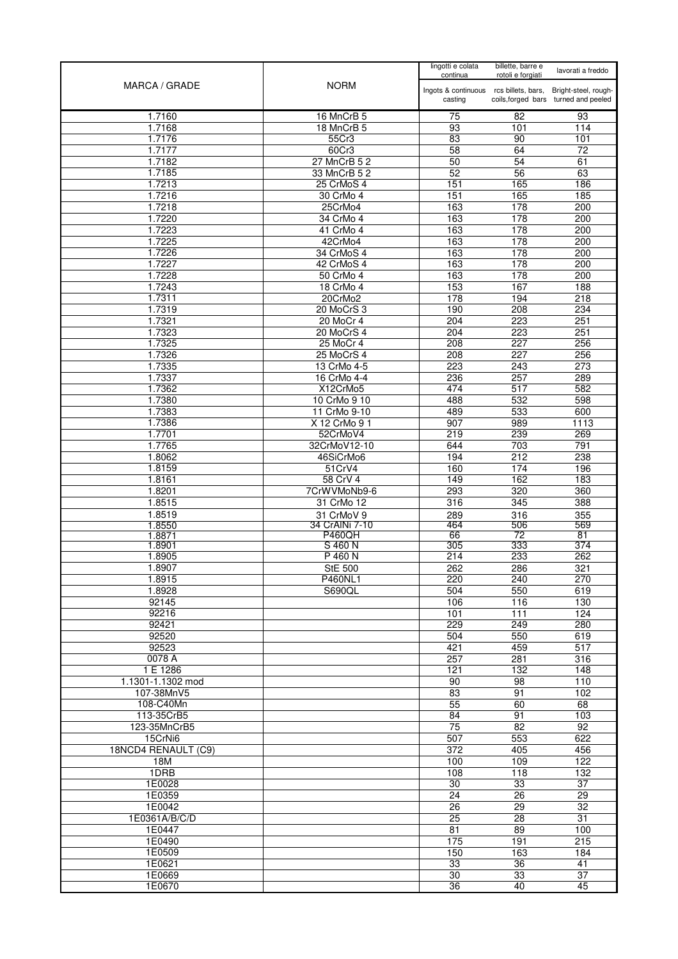|                               |                           | lingotti e colata<br>continua          | billette, barre e<br>rotoli e forgiati | lavorati a freddo                    |
|-------------------------------|---------------------------|----------------------------------------|----------------------------------------|--------------------------------------|
| MARCA / GRADE                 | <b>NORM</b>               | Ingots & continuous rcs billets, bars, |                                        | Bright-steel, rough-                 |
|                               |                           | casting                                |                                        | coils, forged bars turned and peeled |
| 1.7160                        | 16 MnCrB 5                | 75                                     | 82                                     | 93                                   |
| 1.7168                        | 18 MnCrB 5                | 93                                     | 101                                    | 114                                  |
| 1.7176<br>1.7177              | 55Cr3<br>60Cr3            | 83<br>58                               | 90<br>64                               | 101<br>72                            |
| 1.7182                        | 27 MnCrB 5 2              | 50                                     | 54                                     | 61                                   |
| 1.7185                        | 33 MnCrB 5 2              | 52                                     | 56                                     | 63                                   |
| 1.7213                        | 25 CrMoS 4                | 151                                    | 165                                    | 186                                  |
| 1.7216                        | 30 CrMo 4                 | 151                                    | 165                                    | 185                                  |
| 1.7218                        | 25CrMo4                   | 163                                    | 178                                    | 200                                  |
| 1.7220                        | 34 CrMo 4                 | 163                                    | 178                                    | 200                                  |
| 1.7223                        | 41 CrMo 4                 | 163                                    | 178                                    | 200                                  |
| 1.7225                        | 42CrMo4                   | 163<br>163                             | 178<br>178                             | 200                                  |
| 1.7226<br>1.7227              | 34 CrMoS 4<br>42 CrMoS 4  | 163                                    | 178                                    | 200<br>200                           |
| 1.7228                        | 50 CrMo 4                 | 163                                    | 178                                    | 200                                  |
| 1.7243                        | 18 CrMo 4                 | 153                                    | 167                                    | 188                                  |
| 1.7311                        | 20CrMo2                   | 178                                    | 194                                    | 218                                  |
| 1.7319                        | 20 MoCrS 3                | 190                                    | 208                                    | 234                                  |
| 1.7321                        | 20 MoCr 4                 | 204                                    | 223                                    | 251                                  |
| 1.7323                        | 20 MoCrS 4                | $\overline{204}$                       | 223                                    | 251                                  |
| 1.7325                        | 25 MoCr 4                 | 208                                    | 227                                    | 256                                  |
| 1.7326                        | 25 MoCrS 4                | 208                                    | 227                                    | 256                                  |
| 1.7335<br>1.7337              | 13 CrMo 4-5               | 223                                    | 243                                    | 273                                  |
| 1.7362                        | 16 CrMo 4-4<br>X12CrMo5   | 236<br>474                             | 257<br>517                             | 289<br>582                           |
| 1.7380                        | 10 CrMo 9 10              | 488                                    | 532                                    | 598                                  |
| 1.7383                        | 11 CrMo 9-10              | 489                                    | 533                                    | 600                                  |
| 1.7386                        | X 12 CrMo 9 1             | $\overline{907}$                       | 989                                    | 1113                                 |
| 1.7701                        | 52CrMoV4                  | 219                                    | 239                                    | 269                                  |
| 1.7765                        | 32CrMoV12-10              | 644                                    | 703                                    | 791                                  |
| 1.8062                        | 46SiCrMo6                 | 194                                    | 212                                    | 238                                  |
| 1.8159                        | 51CrV4                    | 160                                    | 174                                    | 196                                  |
| 1.8161<br>1.8201              | 58 CrV 4<br>7CrWVMoNb9-6  | 149<br>293                             | 162<br>320                             | 183<br>360                           |
| 1.8515                        | 31 CrMo 12                | 316                                    | 345                                    | 388                                  |
| 1.8519                        | 31 CrMoV 9                | 289                                    | 316                                    | 355                                  |
| 1.8550                        | 34 CrAINi 7-10            | 464                                    | 506                                    | 569                                  |
| 1.8871                        | <b>P460QH</b>             | 66                                     | 72                                     | 81                                   |
| 1.8901                        | S 460 N                   | 305                                    | 333                                    | 374                                  |
| 1.8905<br>1.8907              | P 460 N<br><b>StE 500</b> | $\overline{214}$                       | 233                                    | 262                                  |
| 1.8915                        | <b>P460NL1</b>            | 262<br>220                             | 286<br>240                             | 321<br>270                           |
| 1.8928                        | S690QL                    | 504                                    | 550                                    | 619                                  |
| 92145                         |                           | 106                                    | 116                                    | 130                                  |
| 92216                         |                           | 101                                    | 111                                    | 124                                  |
| 92421                         |                           | 229                                    | 249                                    | 280                                  |
| 92520                         |                           | 504                                    | 550                                    | 619                                  |
| 92523                         |                           | 421                                    | 459                                    | 517                                  |
| 0078 A                        |                           | 257                                    | 281                                    | 316                                  |
| 1 E 1286<br>1.1301-1.1302 mod |                           | 121<br>90                              | 132<br>$\overline{98}$                 | 148<br>110                           |
| 107-38MnV5                    |                           | 83                                     | 91                                     | 102                                  |
| 108-C40Mn                     |                           | 55                                     | 60                                     | 68                                   |
| 113-35CrB5                    |                           | 84                                     | 91                                     | 103                                  |
| 123-35MnCrB5                  |                           | 75                                     | 82                                     | 92                                   |
| 15CrNi6                       |                           | 507                                    | 553                                    | 622                                  |
| 18NCD4 RENAULT (C9)           |                           | 372                                    | 405                                    | 456                                  |
| 18M                           |                           | 100                                    | 109                                    | 122                                  |
| 1DRB<br>1E0028                |                           | 108<br>30                              | 118<br>33                              | 132<br>$\overline{37}$               |
| 1E0359                        |                           | 24                                     | 26                                     | 29                                   |
| 1E0042                        |                           | 26                                     | $\overline{29}$                        | $\overline{32}$                      |
| 1E0361A/B/C/D                 |                           | $\overline{25}$                        | 28                                     | $\overline{31}$                      |
| 1E0447                        |                           | 81                                     | 89                                     | 100                                  |
| 1E0490                        |                           | 175                                    | 191                                    | 215                                  |
| 1E0509                        |                           | 150                                    | 163                                    | 184                                  |
| 1E0621                        |                           | 33                                     | 36                                     | 41                                   |
| 1E0669                        |                           | 30                                     | 33                                     | 37                                   |
| 1E0670                        |                           | 36                                     | 40                                     | 45                                   |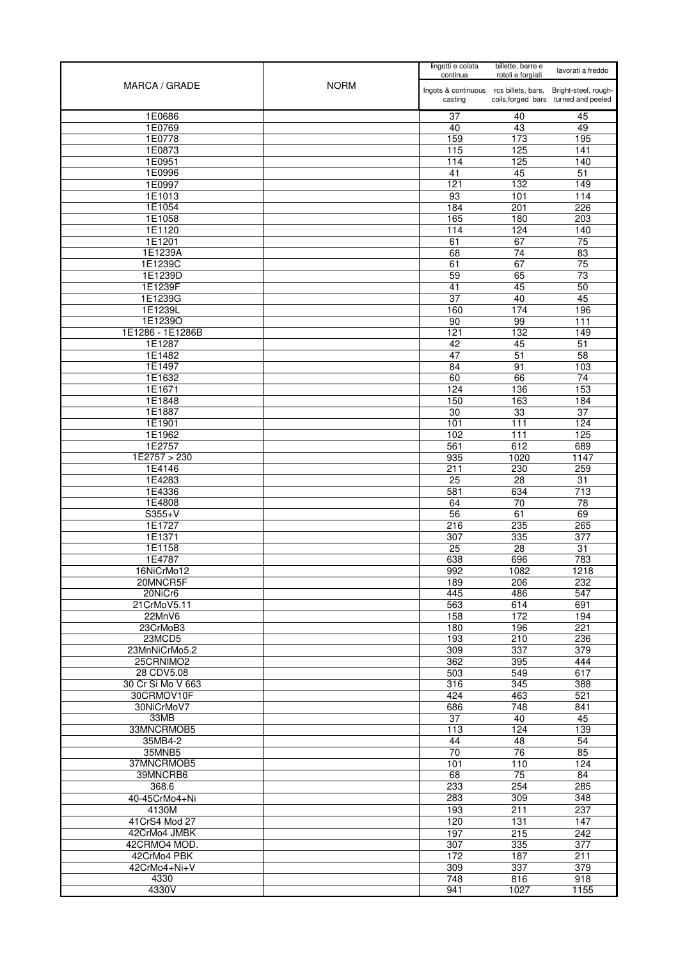| MARCA / GRADE               | <b>NORM</b> | lingotti e colata<br>continua                               | billette, barre e<br>rotoli e forgiati | lavorati a freddo                    |
|-----------------------------|-------------|-------------------------------------------------------------|----------------------------------------|--------------------------------------|
|                             |             | Ingots & continuous rcs billets, bars, Bright-steel, rough- |                                        |                                      |
|                             |             | casting                                                     |                                        | coils, forged bars turned and peeled |
| 1E0686<br>1E0769            |             | 37                                                          | 40<br>43                               | 45                                   |
| 1E0778                      |             | 40<br>159                                                   | 173                                    | 49<br>195                            |
| 1E0873                      |             | 115                                                         | 125                                    | 141                                  |
| 1E0951                      |             | 114                                                         | 125                                    | 140                                  |
| 1E0996                      |             | 41                                                          | 45                                     | 51                                   |
| 1E0997<br>1E1013            |             | 121<br>93                                                   | 132<br>101                             | 149<br>114                           |
| 1E1054                      |             | 184                                                         | 201                                    | 226                                  |
| 1E1058                      |             | 165                                                         | 180                                    | 203                                  |
| 1E1120                      |             | 114                                                         | 124                                    | 140                                  |
| 1E1201<br>1E1239A           |             | 61<br>68                                                    | 67<br>74                               | 75<br>83                             |
| 1E1239C                     |             | 61                                                          | 67                                     | $\overline{75}$                      |
| 1E1239D                     |             | 59                                                          | 65                                     | 73                                   |
| 1E1239F                     |             | 41                                                          | 45                                     | 50                                   |
| 1E1239G<br>1E1239L          |             | 37<br>160                                                   | 40<br>174                              | 45<br>196                            |
| 1E1239O                     |             | 90                                                          | 99                                     | 111                                  |
| 1E1286 - 1E1286B            |             | 121                                                         | 132                                    | 149                                  |
| 1E1287                      |             | 42                                                          | 45                                     | 51                                   |
| 1E1482                      |             | 47                                                          | 51                                     | 58                                   |
| 1E1497<br>1E1632            |             | 84<br>60                                                    | 91<br>66                               | 103<br>74                            |
| 1E1671                      |             | 124                                                         | 136                                    | 153                                  |
| 1E1848                      |             | 150                                                         | 163                                    | 184                                  |
| 1E1887                      |             | 30                                                          | 33                                     | 37                                   |
| 1E1901<br>1E1962            |             | 101                                                         | 111<br>$\overline{111}$                | 124<br>125                           |
| 1E2757                      |             | 102<br>561                                                  | 612                                    | 689                                  |
| 1E2757 > 230                |             | 935                                                         | 1020                                   | 1147                                 |
| 1E4146                      |             | 211                                                         | 230                                    | 259                                  |
| 1E4283<br>1E4336            |             | 25<br>581                                                   | 28<br>634                              | 31<br>713                            |
| 1E4808                      |             | 64                                                          | 70                                     | 78                                   |
| $S355+V$                    |             | 56                                                          | 61                                     | 69                                   |
| 1E1727                      |             | 216                                                         | 235                                    | 265                                  |
| 1E1371<br>1E1158            |             | 307<br>25                                                   | 335<br>28                              | 377<br>31                            |
| 1E4787                      |             | 638                                                         | 696                                    | 783                                  |
| 16NiCrMo12                  |             | 992                                                         | 1082                                   | 1218                                 |
| 20MNCR5F                    |             | 189                                                         | 206                                    | 232                                  |
| 20NiCr6<br>21CrMoV5.11      |             | 445<br>563                                                  | 486<br>614                             | 547<br>691                           |
| 22MnV6                      |             | 158                                                         | 172                                    | 194                                  |
| 23CrMoB3                    |             | 180                                                         | 196                                    | 221                                  |
| 23MCD5                      |             | 193                                                         | 210                                    | 236                                  |
| 23MnNiCrMo5.2<br>25CRNIMO2  |             | 309<br>362                                                  | 337<br>395                             | 379<br>444                           |
| 28 CDV5.08                  |             | 503                                                         | 549                                    | 617                                  |
| 30 Cr Si Mo V 663           |             | 316                                                         | 345                                    | 388                                  |
| 30CRMOV10F                  |             | 424                                                         | 463                                    | 521                                  |
| 30NiCrMoV7                  |             | 686                                                         | 748                                    | 841                                  |
| 33MB<br>33MNCRMOB5          |             | 37<br>113                                                   | 40<br>124                              | 45<br>139                            |
| 35MB4-2                     |             | 44                                                          | 48                                     | 54                                   |
| 35MNB5                      |             | 70                                                          | 76                                     | 85                                   |
| 37MNCRMOB5                  |             | 101                                                         | 110                                    | 124                                  |
| 39MNCRB6<br>368.6           |             | 68<br>233                                                   | 75<br>254                              | 84<br>285                            |
| 40-45CrMo4+Ni               |             | 283                                                         | 309                                    | 348                                  |
| 4130M                       |             | 193                                                         | 211                                    | 237                                  |
| 41 CrS4 Mod 27              |             | 120                                                         | $\overline{131}$                       | 147                                  |
| 42CrMo4 JMBK                |             | 197                                                         | 215                                    | 242                                  |
| 42CRMO4 MOD.<br>42CrMo4 PBK |             | 307<br>172                                                  | 335<br>187                             | 377<br>211                           |
| 42CrMo4+Ni+V                |             | 309                                                         | 337                                    | 379                                  |
| 4330                        |             | 748                                                         | 816                                    | 918                                  |
| 4330V                       |             | 941                                                         | 1027                                   | 1155                                 |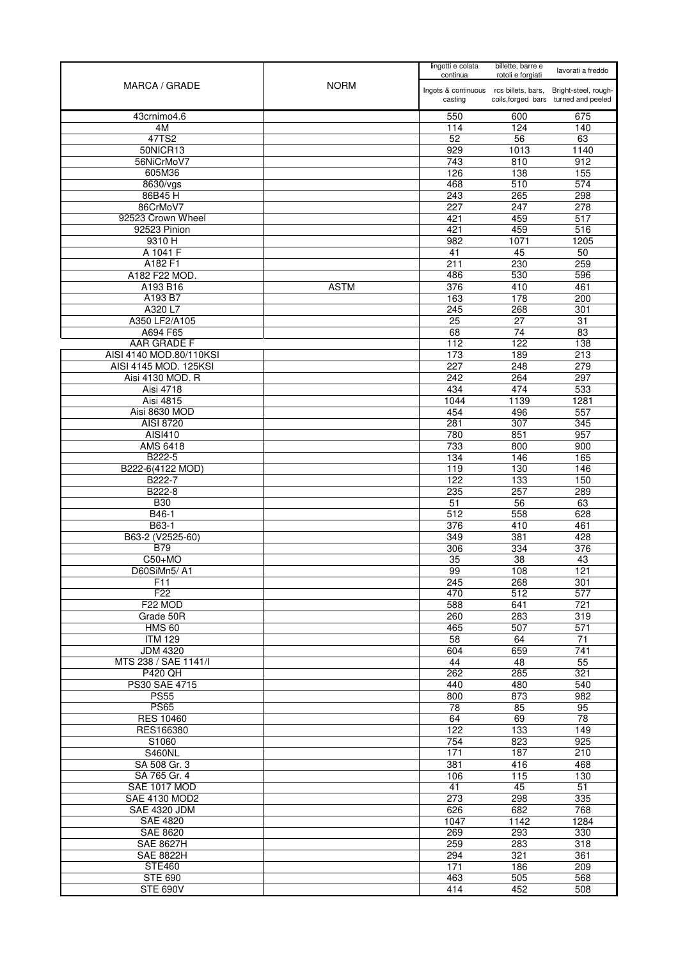| MARCA / GRADE                | <b>NORM</b> | lingotti e colata<br>continua                                          | billette, barre e<br>rotoli e forgiati | lavorati a freddo                    |
|------------------------------|-------------|------------------------------------------------------------------------|----------------------------------------|--------------------------------------|
|                              |             | Ingots & continuous rcs billets, bars, Bright-steel, rough-<br>casting |                                        | coils, forged bars turned and peeled |
| 43crnimo4.6                  |             | 550                                                                    | 600                                    | 675                                  |
| 4M                           |             | 114                                                                    | 124                                    | 140                                  |
| 47TS2                        |             | 52                                                                     | 56                                     | 63                                   |
| 50NICR13                     |             | 929                                                                    | 1013                                   | 1140                                 |
| 56NiCrMoV7                   |             | 743                                                                    | 810                                    | 912                                  |
| 605M36                       |             | 126                                                                    | 138                                    | 155                                  |
| 8630/vgs<br>86B45H           |             | 468<br>243                                                             | 510<br>265                             | 574<br>298                           |
| 86CrMoV7                     |             | 227                                                                    | 247                                    | 278                                  |
| 92523 Crown Wheel            |             | 421                                                                    | 459                                    | 517                                  |
| 92523 Pinion                 |             | 421                                                                    | 459                                    | 516                                  |
| 9310 H                       |             | 982                                                                    | 1071                                   | 1205                                 |
| A 1041 F                     |             | 41                                                                     | 45                                     | 50                                   |
| A182 F1                      |             | 211                                                                    | 230                                    | 259                                  |
| A182 F22 MOD.                |             | 486                                                                    | 530                                    | 596                                  |
| A193 B16                     | <b>ASTM</b> | $\overline{376}$                                                       | 410                                    | 461                                  |
| A193 B7                      |             | 163                                                                    | 178                                    | 200                                  |
| A320 L7                      |             | 245                                                                    | 268                                    | 301                                  |
| A350 LF2/A105<br>A694 F65    |             | $\overline{25}$<br>68                                                  | $\overline{27}$<br>74                  | $\overline{31}$<br>83                |
| AAR GRADE F                  |             | 112                                                                    | 122                                    | 138                                  |
| AISI 4140 MOD.80/110KSI      |             | 173                                                                    | 189                                    | $\overline{213}$                     |
| AISI 4145 MOD. 125KSI        |             | 227                                                                    | 248                                    | 279                                  |
| Aisi 4130 MOD. R             |             | 242                                                                    | 264                                    | 297                                  |
| Aisi 4718                    |             | 434                                                                    | 474                                    | 533                                  |
| Aisi 4815                    |             | 1044                                                                   | 1139                                   | 1281                                 |
| Aisi 8630 MOD                |             | 454                                                                    | 496                                    | 557                                  |
| AISI 8720                    |             | 281                                                                    | 307                                    | 345                                  |
| AISI410                      |             | 780                                                                    | 851                                    | 957                                  |
| AMS 6418                     |             | 733                                                                    | 800                                    | 900                                  |
| B222-5                       |             | 134                                                                    | 146                                    | 165                                  |
| B222-6(4122 MOD)             |             | 119                                                                    | 130                                    | 146                                  |
| B222-7<br>B222-8             |             | 122<br>235                                                             | 133<br>257                             | 150<br>289                           |
| <b>B30</b>                   |             | 51                                                                     | 56                                     | 63                                   |
| B46-1                        |             | 512                                                                    | 558                                    | 628                                  |
| B63-1                        |             | 376                                                                    | 410                                    | 461                                  |
| B63-2 (V2525-60)             |             | 349                                                                    | 381                                    | 428                                  |
| <b>B79</b>                   |             | 306                                                                    | 334                                    | 376                                  |
| $C50+MO$                     |             | $\overline{35}$                                                        | $\overline{38}$                        | 43                                   |
| D60SiMn5/A1                  |             | 99                                                                     | 108                                    | 121                                  |
| F11                          |             | 245                                                                    | 268                                    | 301                                  |
| F22                          |             | 470                                                                    | 512                                    | 577                                  |
| F22 MOD<br>Grade 50R         |             | 588<br>260                                                             | 641<br>283                             | 721<br>319                           |
| <b>HMS 60</b>                |             | 465                                                                    | 507                                    | $\overline{571}$                     |
| <b>ITM 129</b>               |             | 58                                                                     | 64                                     | 71                                   |
| <b>JDM 4320</b>              |             | 604                                                                    | 659                                    | 741                                  |
| MTS 238 / SAE 1141/I         |             | 44                                                                     | 48                                     | 55                                   |
| <b>P420 QH</b>               |             | 262                                                                    | 285                                    | 321                                  |
| PS30 SAE 4715                |             | 440                                                                    | 480                                    | 540                                  |
| <b>PS55</b>                  |             | 800                                                                    | 873                                    | 982                                  |
| <b>PS65</b>                  |             | 78                                                                     | 85                                     | 95                                   |
| <b>RES 10460</b>             |             | 64                                                                     | 69                                     | 78                                   |
| RES166380                    |             | 122                                                                    | 133                                    | 149                                  |
| S1060                        |             | 754                                                                    | 823                                    | 925                                  |
| <b>S460NL</b>                |             | 171                                                                    | 187                                    | 210                                  |
| SA 508 Gr. 3<br>SA 765 Gr. 4 |             | 381<br>106                                                             | 416<br>115                             | 468<br>130                           |
| SAE 1017 MOD                 |             | 41                                                                     | 45                                     | 51                                   |
| SAE 4130 MOD2                |             | $\overline{273}$                                                       | 298                                    | 335                                  |
| <b>SAE 4320 JDM</b>          |             | 626                                                                    | 682                                    | 768                                  |
| <b>SAE 4820</b>              |             | 1047                                                                   | 1142                                   | 1284                                 |
| <b>SAE 8620</b>              |             | 269                                                                    | 293                                    | 330                                  |
| <b>SAE 8627H</b>             |             | 259                                                                    | 283                                    | 318                                  |
| <b>SAE 8822H</b>             |             | 294                                                                    | 321                                    | 361                                  |
| <b>STE460</b>                |             | 171                                                                    | 186                                    | 209                                  |
| <b>STE 690</b>               |             | 463                                                                    | 505                                    | 568                                  |
| <b>STE 690V</b>              |             | 414                                                                    | 452                                    | 508                                  |